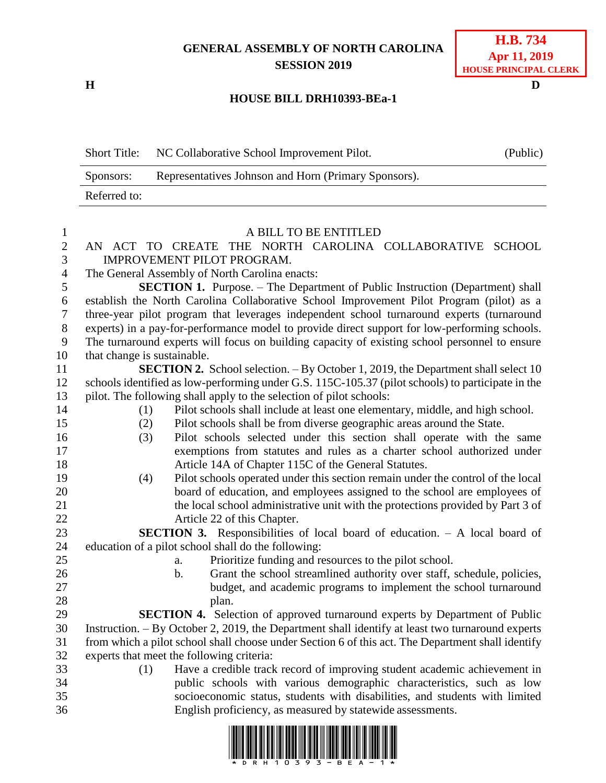## **GENERAL ASSEMBLY OF NORTH CAROLINA SESSION 2019**

**H D**

## **H.B. 734 Apr 11, 2019 HOUSE PRINCIPAL CLERK**

## **HOUSE BILL DRH10393-BEa-1**

|    | <b>Short Title:</b>         | NC Collaborative School Improvement Pilot.                                                    | (Public) |
|----|-----------------------------|-----------------------------------------------------------------------------------------------|----------|
|    | Sponsors:                   | Representatives Johnson and Horn (Primary Sponsors).                                          |          |
|    | Referred to:                |                                                                                               |          |
|    |                             |                                                                                               |          |
|    |                             | A BILL TO BE ENTITLED                                                                         |          |
|    | AN                          | ACT TO CREATE THE NORTH CAROLINA COLLABORATIVE                                                | SCHOOL   |
| 3  |                             | IMPROVEMENT PILOT PROGRAM.                                                                    |          |
| 4  |                             | The General Assembly of North Carolina enacts:                                                |          |
| 5  |                             | <b>SECTION 1.</b> Purpose. – The Department of Public Instruction (Department) shall          |          |
| 6  |                             | establish the North Carolina Collaborative School Improvement Pilot Program (pilot) as a      |          |
|    |                             | three-year pilot program that leverages independent school turnaround experts (turnaround     |          |
| 8  |                             | experts) in a pay-for-performance model to provide direct support for low-performing schools. |          |
| 9  |                             | The turnaround experts will focus on building capacity of existing school personnel to ensure |          |
| 10 | that change is sustainable. |                                                                                               |          |

**SECTION 2.** School selection. – By October 1, 2019, the Department shall select 10 schools identified as low-performing under G.S. 115C-105.37 (pilot schools) to participate in the pilot. The following shall apply to the selection of pilot schools:

- (1) Pilot schools shall include at least one elementary, middle, and high school.
- (2) Pilot schools shall be from diverse geographic areas around the State.
- (3) Pilot schools selected under this section shall operate with the same exemptions from statutes and rules as a charter school authorized under Article 14A of Chapter 115C of the General Statutes.
- (4) Pilot schools operated under this section remain under the control of the local board of education, and employees assigned to the school are employees of the local school administrative unit with the protections provided by Part 3 of Article 22 of this Chapter.

 **SECTION 3.** Responsibilities of local board of education. – A local board of education of a pilot school shall do the following:

- 
- 
- 
- a. Prioritize funding and resources to the pilot school.
- 26 b. Grant the school streamlined authority over staff, schedule, policies, budget, and academic programs to implement the school turnaround 28 plan.

 **SECTION 4.** Selection of approved turnaround experts by Department of Public Instruction. – By October 2, 2019, the Department shall identify at least two turnaround experts from which a pilot school shall choose under Section 6 of this act. The Department shall identify experts that meet the following criteria:

- 
- (1) Have a credible track record of improving student academic achievement in public schools with various demographic characteristics, such as low socioeconomic status, students with disabilities, and students with limited English proficiency, as measured by statewide assessments.

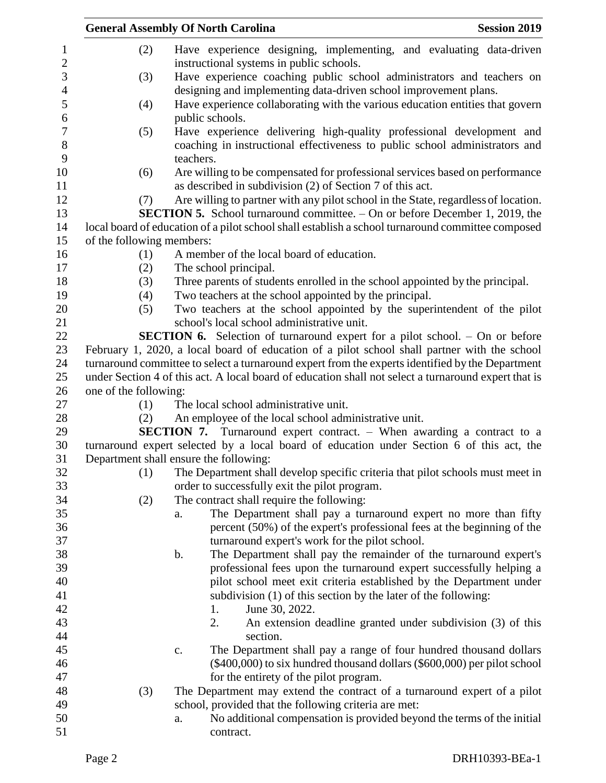|                                            | <b>Session 2019</b><br><b>General Assembly Of North Carolina</b> |                                                                                                                                                     |  |
|--------------------------------------------|------------------------------------------------------------------|-----------------------------------------------------------------------------------------------------------------------------------------------------|--|
| 1<br>$\overline{2}$                        | (2)                                                              | Have experience designing, implementing, and evaluating data-driven<br>instructional systems in public schools.                                     |  |
| $\mathfrak{Z}$<br>$\overline{\mathcal{L}}$ | (3)                                                              | Have experience coaching public school administrators and teachers on<br>designing and implementing data-driven school improvement plans.           |  |
| 5<br>6                                     | (4)                                                              | Have experience collaborating with the various education entities that govern<br>public schools.                                                    |  |
| $\tau$<br>8                                | (5)                                                              | Have experience delivering high-quality professional development and<br>coaching in instructional effectiveness to public school administrators and |  |
| 9<br>10                                    | (6)                                                              | teachers.<br>Are willing to be compensated for professional services based on performance                                                           |  |
| 11<br>12                                   |                                                                  | as described in subdivision (2) of Section 7 of this act.                                                                                           |  |
|                                            | (7)                                                              | Are willing to partner with any pilot school in the State, regardless of location.                                                                  |  |
| 13                                         |                                                                  | SECTION 5. School turnaround committee. - On or before December 1, 2019, the                                                                        |  |
| 14                                         |                                                                  | local board of education of a pilot school shall establish a school turnaround committee composed                                                   |  |
| 15                                         | of the following members:                                        |                                                                                                                                                     |  |
| 16                                         | (1)                                                              | A member of the local board of education.                                                                                                           |  |
| 17                                         | (2)                                                              | The school principal.                                                                                                                               |  |
| 18                                         | (3)                                                              | Three parents of students enrolled in the school appointed by the principal.                                                                        |  |
| 19                                         | (4)                                                              | Two teachers at the school appointed by the principal.                                                                                              |  |
| 20                                         | (5)                                                              | Two teachers at the school appointed by the superintendent of the pilot                                                                             |  |
| 21                                         |                                                                  | school's local school administrative unit.                                                                                                          |  |
| 22                                         |                                                                  | <b>SECTION 6.</b> Selection of turnaround expert for a pilot school. – On or before                                                                 |  |
| 23                                         |                                                                  | February 1, 2020, a local board of education of a pilot school shall partner with the school                                                        |  |
| 24                                         |                                                                  | turnaround committee to select a turnaround expert from the experts identified by the Department                                                    |  |
| 25                                         |                                                                  | under Section 4 of this act. A local board of education shall not select a turnaround expert that is                                                |  |
| 26                                         | one of the following:                                            |                                                                                                                                                     |  |
| 27                                         | (1)                                                              | The local school administrative unit.                                                                                                               |  |
| 28                                         | (2)                                                              | An employee of the local school administrative unit.                                                                                                |  |
| 29                                         |                                                                  | <b>SECTION 7.</b> Turnaround expert contract. – When awarding a contract to a                                                                       |  |
| 30                                         |                                                                  | turnaround expert selected by a local board of education under Section 6 of this act, the                                                           |  |
| 31                                         |                                                                  | Department shall ensure the following:                                                                                                              |  |
| 32                                         | (1)                                                              | The Department shall develop specific criteria that pilot schools must meet in                                                                      |  |
| 33                                         |                                                                  | order to successfully exit the pilot program.                                                                                                       |  |
| 34                                         | (2)                                                              | The contract shall require the following:                                                                                                           |  |
| 35                                         |                                                                  | The Department shall pay a turnaround expert no more than fifty<br>a.                                                                               |  |
| 36                                         |                                                                  | percent (50%) of the expert's professional fees at the beginning of the                                                                             |  |
| 37                                         |                                                                  | turnaround expert's work for the pilot school.                                                                                                      |  |
| 38                                         |                                                                  | The Department shall pay the remainder of the turnaround expert's<br>b.                                                                             |  |
| 39                                         |                                                                  | professional fees upon the turnaround expert successfully helping a                                                                                 |  |
| 40                                         |                                                                  | pilot school meet exit criteria established by the Department under                                                                                 |  |
| 41                                         |                                                                  | subdivision (1) of this section by the later of the following:                                                                                      |  |
| 42                                         |                                                                  | June 30, 2022.<br>1.                                                                                                                                |  |
| 43                                         |                                                                  | An extension deadline granted under subdivision (3) of this<br>2.                                                                                   |  |
| 44                                         |                                                                  | section.                                                                                                                                            |  |
| 45                                         |                                                                  | The Department shall pay a range of four hundred thousand dollars<br>c.                                                                             |  |
| 46                                         |                                                                  | $(\$400,000)$ to six hundred thousand dollars $(\$600,000)$ per pilot school                                                                        |  |
| 47                                         |                                                                  | for the entirety of the pilot program.                                                                                                              |  |
| 48                                         | (3)                                                              | The Department may extend the contract of a turnaround expert of a pilot                                                                            |  |
| 49                                         |                                                                  | school, provided that the following criteria are met:                                                                                               |  |
| 50                                         |                                                                  | No additional compensation is provided beyond the terms of the initial<br>a.                                                                        |  |
| 51                                         |                                                                  | contract.                                                                                                                                           |  |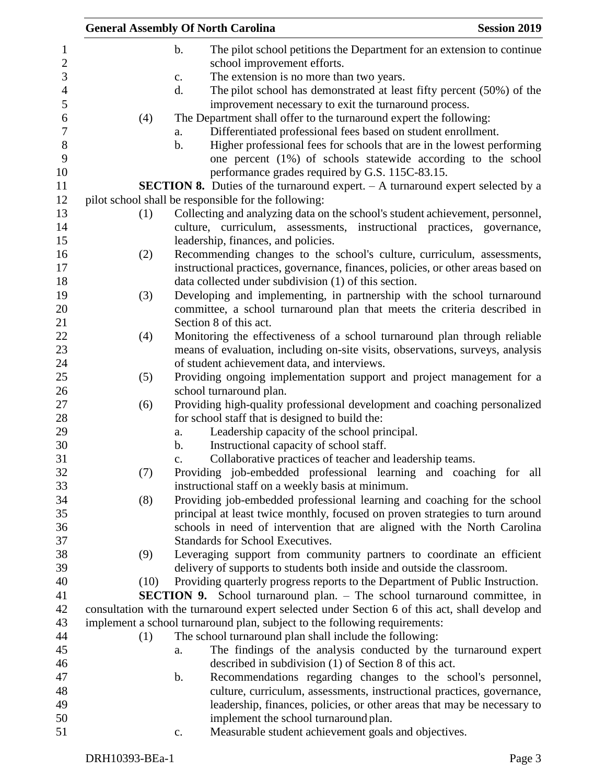|      | <b>General Assembly Of North Carolina</b>                                                                                                                        | <b>Session 2019</b> |
|------|------------------------------------------------------------------------------------------------------------------------------------------------------------------|---------------------|
|      | $\mathbf b$ .<br>The pilot school petitions the Department for an extension to continue                                                                          |                     |
|      | school improvement efforts.                                                                                                                                      |                     |
|      | The extension is no more than two years.<br>$\mathbf{c}$ .                                                                                                       |                     |
|      | The pilot school has demonstrated at least fifty percent (50%) of the<br>d.                                                                                      |                     |
|      | improvement necessary to exit the turnaround process.                                                                                                            |                     |
| (4)  | The Department shall offer to the turnaround expert the following:                                                                                               |                     |
|      | Differentiated professional fees based on student enrollment.<br>a.                                                                                              |                     |
|      | Higher professional fees for schools that are in the lowest performing<br>b.                                                                                     |                     |
|      | one percent (1%) of schools statewide according to the school                                                                                                    |                     |
|      | performance grades required by G.S. 115C-83.15.                                                                                                                  |                     |
|      | <b>SECTION 8.</b> Duties of the turnaround expert. $- A$ turnaround expert selected by a                                                                         |                     |
|      | pilot school shall be responsible for the following:                                                                                                             |                     |
| (1)  | Collecting and analyzing data on the school's student achievement, personnel,                                                                                    |                     |
|      | culture, curriculum, assessments, instructional practices, governance,                                                                                           |                     |
|      | leadership, finances, and policies.                                                                                                                              |                     |
| (2)  | Recommending changes to the school's culture, curriculum, assessments,                                                                                           |                     |
|      | instructional practices, governance, finances, policies, or other areas based on                                                                                 |                     |
|      | data collected under subdivision (1) of this section.                                                                                                            |                     |
| (3)  | Developing and implementing, in partnership with the school turnaround                                                                                           |                     |
|      | committee, a school turnaround plan that meets the criteria described in                                                                                         |                     |
|      | Section 8 of this act.                                                                                                                                           |                     |
| (4)  | Monitoring the effectiveness of a school turnaround plan through reliable                                                                                        |                     |
|      | means of evaluation, including on-site visits, observations, surveys, analysis                                                                                   |                     |
|      | of student achievement data, and interviews.                                                                                                                     |                     |
| (5)  | Providing ongoing implementation support and project management for a                                                                                            |                     |
|      | school turnaround plan.                                                                                                                                          |                     |
| (6)  | Providing high-quality professional development and coaching personalized                                                                                        |                     |
|      | for school staff that is designed to build the:                                                                                                                  |                     |
|      | Leadership capacity of the school principal.<br>a.                                                                                                               |                     |
|      | Instructional capacity of school staff.<br>b.                                                                                                                    |                     |
|      | Collaborative practices of teacher and leadership teams.<br>c.                                                                                                   |                     |
| (7)  | Providing job-embedded professional learning and coaching for all                                                                                                |                     |
|      | instructional staff on a weekly basis at minimum.                                                                                                                |                     |
| (8)  | Providing job-embedded professional learning and coaching for the school                                                                                         |                     |
|      | principal at least twice monthly, focused on proven strategies to turn around                                                                                    |                     |
|      | schools in need of intervention that are aligned with the North Carolina<br>Standards for School Executives.                                                     |                     |
|      |                                                                                                                                                                  |                     |
| (9)  | Leveraging support from community partners to coordinate an efficient                                                                                            |                     |
|      | delivery of supports to students both inside and outside the classroom.                                                                                          |                     |
| (10) | Providing quarterly progress reports to the Department of Public Instruction.<br><b>SECTION 9.</b> School turnaround plan. - The school turnaround committee, in |                     |
|      | consultation with the turnaround expert selected under Section 6 of this act, shall develop and                                                                  |                     |
|      | implement a school turnaround plan, subject to the following requirements:                                                                                       |                     |
| (1)  | The school turnaround plan shall include the following:                                                                                                          |                     |
|      | The findings of the analysis conducted by the turnaround expert<br>a.                                                                                            |                     |
|      | described in subdivision (1) of Section 8 of this act.                                                                                                           |                     |
|      | Recommendations regarding changes to the school's personnel,<br>b.                                                                                               |                     |
|      | culture, curriculum, assessments, instructional practices, governance,                                                                                           |                     |
|      | leadership, finances, policies, or other areas that may be necessary to                                                                                          |                     |
|      | implement the school turnaround plan.                                                                                                                            |                     |
|      | Measurable student achievement goals and objectives.<br>$\mathbf{c}$ .                                                                                           |                     |
|      |                                                                                                                                                                  |                     |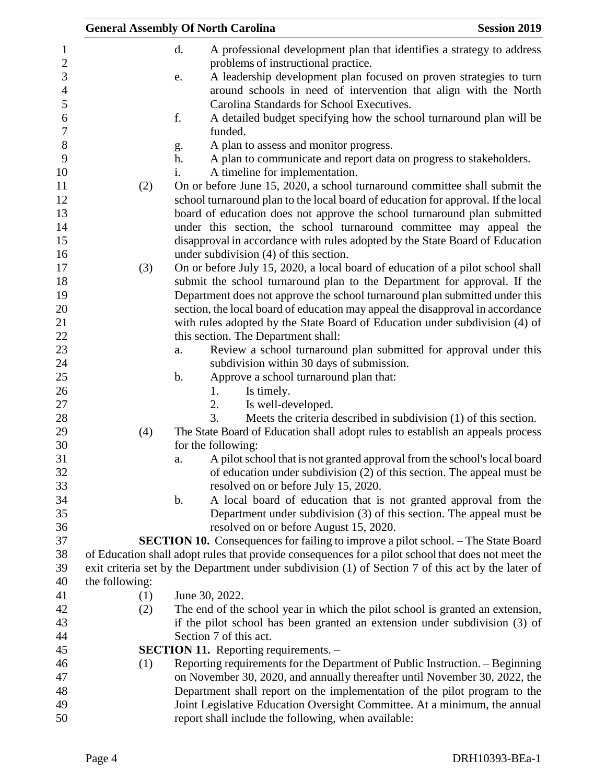|                | <b>General Assembly Of North Carolina</b>                                                          | <b>Session 2019</b> |
|----------------|----------------------------------------------------------------------------------------------------|---------------------|
|                | d.<br>A professional development plan that identifies a strategy to address                        |                     |
|                | problems of instructional practice.                                                                |                     |
|                | A leadership development plan focused on proven strategies to turn<br>e.                           |                     |
|                | around schools in need of intervention that align with the North                                   |                     |
|                | Carolina Standards for School Executives.                                                          |                     |
|                | f.<br>A detailed budget specifying how the school turnaround plan will be                          |                     |
|                | funded.                                                                                            |                     |
|                | A plan to assess and monitor progress.<br>g.                                                       |                     |
|                | A plan to communicate and report data on progress to stakeholders.<br>h.                           |                     |
|                | A timeline for implementation.<br>i.                                                               |                     |
| (2)            | On or before June 15, 2020, a school turnaround committee shall submit the                         |                     |
|                | school turnaround plan to the local board of education for approval. If the local                  |                     |
|                | board of education does not approve the school turnaround plan submitted                           |                     |
|                | under this section, the school turnaround committee may appeal the                                 |                     |
|                | disapproval in accordance with rules adopted by the State Board of Education                       |                     |
|                | under subdivision $(4)$ of this section.                                                           |                     |
| (3)            | On or before July 15, 2020, a local board of education of a pilot school shall                     |                     |
|                | submit the school turnaround plan to the Department for approval. If the                           |                     |
|                | Department does not approve the school turnaround plan submitted under this                        |                     |
|                | section, the local board of education may appeal the disapproval in accordance                     |                     |
|                | with rules adopted by the State Board of Education under subdivision (4) of                        |                     |
|                | this section. The Department shall:                                                                |                     |
|                | Review a school turnaround plan submitted for approval under this<br>a.                            |                     |
|                | subdivision within 30 days of submission.                                                          |                     |
|                | b.<br>Approve a school turnaround plan that:                                                       |                     |
|                | Is timely.<br>1.                                                                                   |                     |
|                | 2.<br>Is well-developed.                                                                           |                     |
|                | 3.<br>Meets the criteria described in subdivision (1) of this section.                             |                     |
| (4)            | The State Board of Education shall adopt rules to establish an appeals process                     |                     |
|                | for the following:                                                                                 |                     |
|                | A pilot school that is not granted approval from the school's local board<br>a.                    |                     |
|                | of education under subdivision (2) of this section. The appeal must be                             |                     |
|                | resolved on or before July 15, 2020.                                                               |                     |
|                | A local board of education that is not granted approval from the<br>$\mathbf b$ .                  |                     |
|                | Department under subdivision (3) of this section. The appeal must be                               |                     |
|                | resolved on or before August 15, 2020.                                                             |                     |
|                | <b>SECTION 10.</b> Consequences for failing to improve a pilot school. - The State Board           |                     |
|                | of Education shall adopt rules that provide consequences for a pilot school that does not meet the |                     |
|                | exit criteria set by the Department under subdivision (1) of Section 7 of this act by the later of |                     |
| the following: |                                                                                                    |                     |
| (1)            | June 30, 2022.                                                                                     |                     |
| (2)            | The end of the school year in which the pilot school is granted an extension,                      |                     |
|                | if the pilot school has been granted an extension under subdivision (3) of                         |                     |
|                | Section 7 of this act.                                                                             |                     |
|                | <b>SECTION 11.</b> Reporting requirements. -                                                       |                     |
| (1)            | Reporting requirements for the Department of Public Instruction. – Beginning                       |                     |
|                | on November 30, 2020, and annually thereafter until November 30, 2022, the                         |                     |
|                | Department shall report on the implementation of the pilot program to the                          |                     |
|                | Joint Legislative Education Oversight Committee. At a minimum, the annual                          |                     |
|                | report shall include the following, when available:                                                |                     |